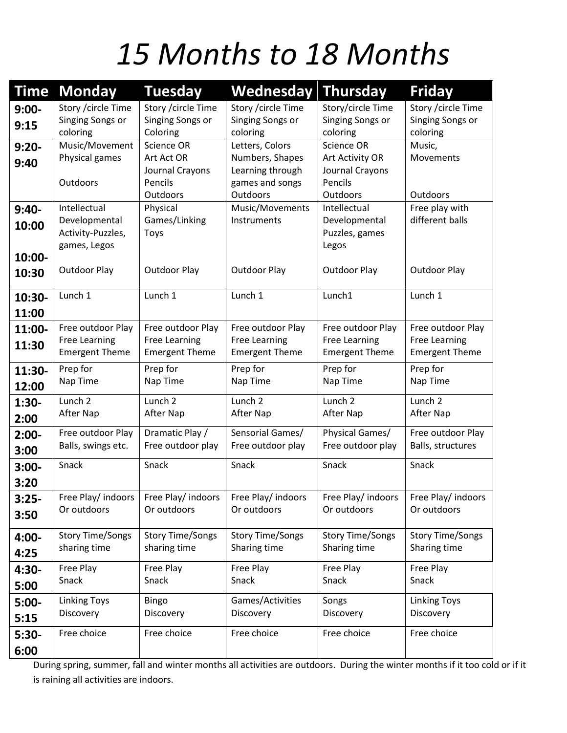## *15 Months to 18 Months*

| <b>Time</b> | <b>Monday</b>                    | <b>Tuesday</b>               | Wednesday                           | <b>Thursday</b>              | <b>Friday</b>                           |
|-------------|----------------------------------|------------------------------|-------------------------------------|------------------------------|-----------------------------------------|
| $9:00-$     | Story / circle Time              | Story / circle Time          | Story / circle Time                 | Story/circle Time            | Story / circle Time<br>Singing Songs or |
| 9:15        | Singing Songs or<br>coloring     | Singing Songs or<br>Coloring | Singing Songs or<br>coloring        | Singing Songs or<br>coloring | coloring                                |
| $9:20-$     | Music/Movement                   | Science OR                   | Letters, Colors                     | Science OR                   | Music,                                  |
| 9:40        | Physical games                   | Art Act OR                   | Numbers, Shapes                     | Art Activity OR              | Movements                               |
|             | Outdoors                         | Journal Crayons<br>Pencils   | Learning through<br>games and songs | Journal Crayons<br>Pencils   |                                         |
|             |                                  | <b>Outdoors</b>              | Outdoors                            | Outdoors                     | Outdoors                                |
| $9:40-$     | Intellectual                     | Physical                     | Music/Movements                     | Intellectual                 | Free play with                          |
| 10:00       | Developmental                    | Games/Linking                | Instruments                         | Developmental                | different balls                         |
|             | Activity-Puzzles,                | <b>Toys</b>                  |                                     | Puzzles, games               |                                         |
| 10:00-      | games, Legos                     |                              |                                     | Legos                        |                                         |
| 10:30       | <b>Outdoor Play</b>              | Outdoor Play                 | <b>Outdoor Play</b>                 | <b>Outdoor Play</b>          | <b>Outdoor Play</b>                     |
|             |                                  |                              |                                     |                              |                                         |
| 10:30-      | Lunch 1                          | Lunch 1                      | Lunch 1                             | Lunch1                       | Lunch 1                                 |
| 11:00       |                                  |                              |                                     |                              |                                         |
| 11:00-      | Free outdoor Play                | Free outdoor Play            | Free outdoor Play                   | Free outdoor Play            | Free outdoor Play                       |
| 11:30       | <b>Free Learning</b>             | <b>Free Learning</b>         | <b>Free Learning</b>                | <b>Free Learning</b>         | Free Learning                           |
|             | <b>Emergent Theme</b>            | <b>Emergent Theme</b>        | <b>Emergent Theme</b>               | <b>Emergent Theme</b>        | <b>Emergent Theme</b>                   |
| 11:30-      | Prep for                         | Prep for                     | Prep for                            | Prep for                     | Prep for                                |
| 12:00       | Nap Time                         | Nap Time                     | Nap Time                            | Nap Time                     | Nap Time                                |
| $1:30-$     | Lunch <sub>2</sub>               | Lunch <sub>2</sub>           | Lunch <sub>2</sub>                  | Lunch <sub>2</sub>           | Lunch <sub>2</sub>                      |
| 2:00        | After Nap                        | After Nap                    | After Nap                           | After Nap                    | After Nap                               |
| $2:00-$     | Free outdoor Play                | Dramatic Play /              | Sensorial Games/                    | Physical Games/              | Free outdoor Play                       |
| 3:00        | Balls, swings etc.               | Free outdoor play            | Free outdoor play                   | Free outdoor play            | Balls, structures                       |
| $3:00-$     | Snack                            | Snack                        | Snack                               | Snack                        | Snack                                   |
| 3:20        |                                  |                              |                                     |                              |                                         |
| $3:25-$     | Free Play/ indoors               | Free Play/ indoors           | Free Play/ indoors                  | Free Play/ indoors           | Free Play/ indoors                      |
| 3:50        | Or outdoors                      | Or outdoors                  | Or outdoors                         | Or outdoors                  | Or outdoors                             |
|             | <b>Story Time/Songs</b>          | <b>Story Time/Songs</b>      | <b>Story Time/Songs</b>             | <b>Story Time/Songs</b>      | <b>Story Time/Songs</b>                 |
| 4:00-       | sharing time                     | sharing time                 | Sharing time                        | Sharing time                 | Sharing time                            |
| 4:25        |                                  |                              |                                     |                              |                                         |
| $4:30-$     | Free Play<br>Snack               | Free Play<br>Snack           | Free Play<br>Snack                  | Free Play<br>Snack           | Free Play<br>Snack                      |
| 5:00        |                                  |                              |                                     |                              |                                         |
| $5:00-$     | <b>Linking Toys</b><br>Discovery | <b>Bingo</b>                 | Games/Activities                    | Songs<br>Discovery           | <b>Linking Toys</b><br>Discovery        |
| 5:15        |                                  | Discovery                    | Discovery                           |                              |                                         |
| $5:30-$     | Free choice                      | Free choice                  | Free choice                         | Free choice                  | Free choice                             |
| 6:00        |                                  |                              |                                     |                              |                                         |

During spring, summer, fall and winter months all activities are outdoors. During the winter months if it too cold or if it is raining all activities are indoors.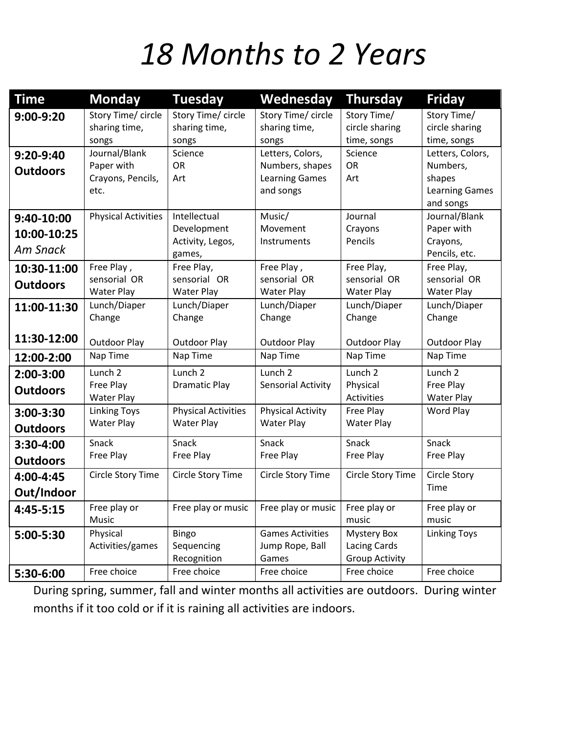### *18 Months to 2 Years*

| Time                                 | <b>Monday</b>              | <b>Tuesday</b>             | Wednesday                | <b>Thursday</b>       | <b>Friday</b>              |
|--------------------------------------|----------------------------|----------------------------|--------------------------|-----------------------|----------------------------|
| 9:00-9:20                            | Story Time/ circle         | Story Time/ circle         | Story Time/ circle       |                       | Story Time/                |
|                                      | sharing time,              | sharing time,              | sharing time,            | circle sharing        | circle sharing             |
|                                      | songs                      | songs                      | songs                    | time, songs           | time, songs                |
| $9:20-9:40$                          | Journal/Blank              | Science                    | Letters, Colors,         | Science               | Letters, Colors,           |
| <b>Outdoors</b>                      | Paper with                 | <b>OR</b>                  | Numbers, shapes          | <b>OR</b>             | Numbers,                   |
| Crayons, Pencils,                    |                            | Art                        | <b>Learning Games</b>    | Art                   | shapes                     |
|                                      | etc.                       |                            | and songs                |                       | <b>Learning Games</b>      |
|                                      |                            |                            |                          |                       | and songs                  |
| 9:40-10:00                           | <b>Physical Activities</b> | Intellectual               | Music/                   | Journal               | Journal/Blank              |
| 10:00-10:25                          |                            | Development                | Movement                 | Crayons               | Paper with                 |
| <b>Am Snack</b>                      |                            | Activity, Legos,           | Instruments              | Pencils               | Crayons,<br>Pencils, etc.  |
|                                      | Free Play,                 | games,<br>Free Play,       | Free Play,               | Free Play,            |                            |
| 10:30-11:00                          | sensorial OR               | sensorial OR               | sensorial OR             | sensorial OR          | Free Play,<br>sensorial OR |
| <b>Outdoors</b>                      | <b>Water Play</b>          | <b>Water Play</b>          | <b>Water Play</b>        | <b>Water Play</b>     | <b>Water Play</b>          |
| 11:00-11:30                          | Lunch/Diaper               | Lunch/Diaper               | Lunch/Diaper             | Lunch/Diaper          | Lunch/Diaper               |
|                                      | Change                     | Change                     | Change                   | Change                | Change                     |
|                                      |                            |                            |                          |                       |                            |
| 11:30-12:00                          | <b>Outdoor Play</b>        | <b>Outdoor Play</b>        | <b>Outdoor Play</b>      | Outdoor Play          | Outdoor Play               |
| 12:00-2:00                           | Nap Time                   | Nap Time                   | Nap Time                 | Nap Time              | Nap Time                   |
| 2:00-3:00                            | Lunch <sub>2</sub>         | Lunch <sub>2</sub>         | Lunch <sub>2</sub>       | Lunch <sub>2</sub>    | Lunch <sub>2</sub>         |
| <b>Outdoors</b>                      | Free Play                  | <b>Dramatic Play</b>       | Sensorial Activity       | Physical              | Free Play                  |
|                                      | <b>Water Play</b>          |                            |                          | <b>Activities</b>     | <b>Water Play</b>          |
| 3:00-3:30                            | <b>Linking Toys</b>        | <b>Physical Activities</b> | <b>Physical Activity</b> | Free Play             | Word Play                  |
| <b>Water Play</b><br><b>Outdoors</b> |                            | <b>Water Play</b>          | <b>Water Play</b>        | <b>Water Play</b>     |                            |
| 3:30-4:00                            | Snack                      | Snack                      | Snack                    | Snack                 | Snack                      |
| Free Play<br><b>Outdoors</b>         |                            | Free Play                  | Free Play                | Free Play             | Free Play                  |
| Circle Story Time<br>4:00-4:45       |                            | Circle Story Time          | Circle Story Time        | Circle Story Time     | Circle Story               |
| Out/Indoor                           |                            |                            |                          |                       | Time                       |
| 4:45-5:15                            | Free play or               | Free play or music         | Free play or music       | Free play or          | Free play or               |
|                                      | Music                      |                            |                          | music                 | music                      |
| 5:00-5:30                            | Physical                   | <b>Bingo</b>               | <b>Games Activities</b>  | Mystery Box           | <b>Linking Toys</b>        |
|                                      | Activities/games           | Sequencing                 | Jump Rope, Ball          | <b>Lacing Cards</b>   |                            |
|                                      |                            | Recognition                | Games                    | <b>Group Activity</b> |                            |
| 5:30-6:00                            | Free choice                | Free choice                | Free choice              | Free choice           | Free choice                |

During spring, summer, fall and winter months all activities are outdoors. During winter months if it too cold or if it is raining all activities are indoors.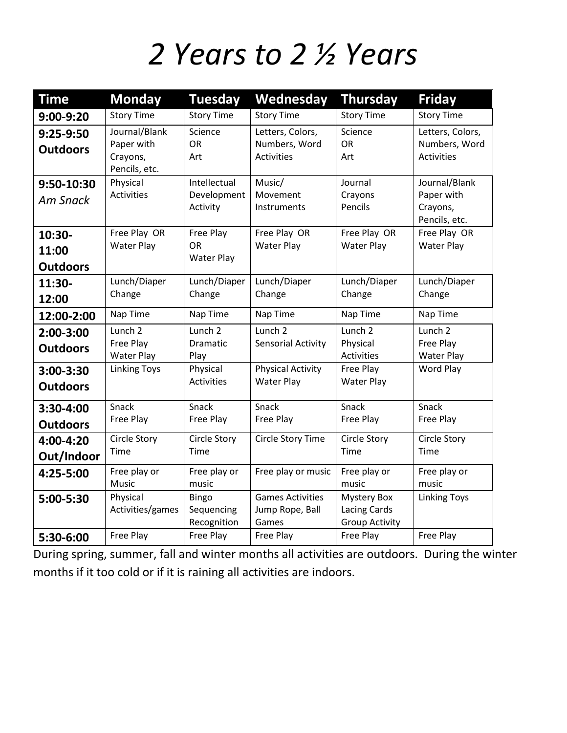#### *2 Years to 2 ½ Years*

| <b>Time</b>                                                             | <b>Monday</b>                                            | <b>Tuesday</b>                          | Wednesday                                              | <b>Thursday</b>                                                    | <b>Friday</b>                                            |
|-------------------------------------------------------------------------|----------------------------------------------------------|-----------------------------------------|--------------------------------------------------------|--------------------------------------------------------------------|----------------------------------------------------------|
| 9:00-9:20                                                               | <b>Story Time</b>                                        | <b>Story Time</b>                       | <b>Story Time</b>                                      | <b>Story Time</b>                                                  | <b>Story Time</b>                                        |
| $9:25-9:50$<br><b>Outdoors</b>                                          | Journal/Blank<br>Paper with<br>Crayons,<br>Pencils, etc. | Science<br><b>OR</b><br>Art             | Letters, Colors,<br>Numbers, Word<br><b>Activities</b> | Science<br><b>OR</b><br>Art                                        | Letters, Colors,<br>Numbers, Word<br><b>Activities</b>   |
| Physical<br>9:50-10:30<br><b>Activities</b><br><b>Am Snack</b>          |                                                          | Intellectual<br>Development<br>Activity | Music/<br>Movement<br>Instruments                      | Journal<br>Crayons<br>Pencils                                      | Journal/Blank<br>Paper with<br>Crayons,<br>Pencils, etc. |
| Free Play OR<br>10:30-<br><b>Water Play</b><br>11:00<br><b>Outdoors</b> |                                                          | Free Play<br>OR.<br><b>Water Play</b>   | Free Play OR<br><b>Water Play</b>                      | Free Play OR<br><b>Water Play</b>                                  | Free Play OR<br><b>Water Play</b>                        |
| 11:30-<br>12:00                                                         | Lunch/Diaper<br>Change                                   | Lunch/Diaper<br>Change                  | Lunch/Diaper<br>Change                                 | Lunch/Diaper<br>Change                                             | Lunch/Diaper<br>Change                                   |
| 12:00-2:00                                                              | Nap Time                                                 | Nap Time                                | Nap Time                                               | Nap Time                                                           | Nap Time                                                 |
| $2:00-3:00$<br><b>Outdoors</b>                                          | Lunch <sub>2</sub><br>Free Play<br><b>Water Play</b>     | Lunch <sub>2</sub><br>Dramatic<br>Play  | Lunch <sub>2</sub><br>Sensorial Activity               | Lunch <sub>2</sub><br>Physical<br><b>Activities</b>                | Lunch <sub>2</sub><br>Free Play<br><b>Water Play</b>     |
| 3:00-3:30<br><b>Outdoors</b>                                            | <b>Linking Toys</b>                                      | Physical<br><b>Activities</b>           | <b>Physical Activity</b><br><b>Water Play</b>          | Free Play<br><b>Water Play</b>                                     | Word Play                                                |
| 3:30-4:00<br><b>Outdoors</b>                                            | Snack<br>Free Play                                       | Snack<br>Free Play                      | Snack<br>Free Play                                     | Snack<br>Free Play                                                 | Snack<br>Free Play                                       |
| Circle Story<br>Circle Story<br>4:00-4:20<br>Time<br>Time<br>Out/Indoor |                                                          |                                         | <b>Circle Story Time</b>                               | <b>Circle Story</b><br>Time                                        | Circle Story<br>Time                                     |
| 4:25-5:00                                                               | Free play or<br>Music                                    | Free play or<br>music                   | Free play or music                                     | Free play or<br>music                                              | Free play or<br>music                                    |
| 5:00-5:30                                                               | Physical<br>Activities/games                             | Bingo<br>Sequencing<br>Recognition      | <b>Games Activities</b><br>Jump Rope, Ball<br>Games    | <b>Mystery Box</b><br><b>Lacing Cards</b><br><b>Group Activity</b> | <b>Linking Toys</b>                                      |
| 5:30-6:00                                                               | Free Play                                                | Free Play                               | Free Play                                              | Free Play                                                          | Free Play                                                |

During spring, summer, fall and winter months all activities are outdoors. During the winter months if it too cold or if it is raining all activities are indoors.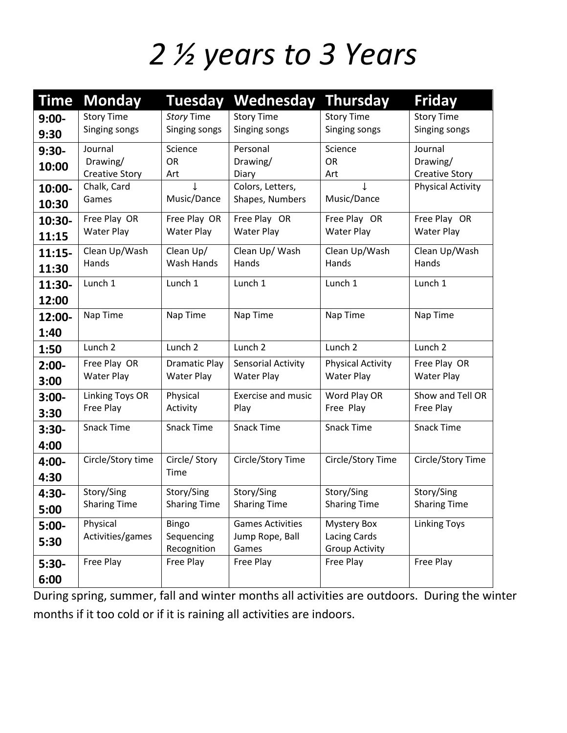## *2 ½ years to 3 Years*

| Time     | <b>Monday</b>          | <b>Tuesday</b>       | Wednesday                 | <b>Thursday</b>          | <b>Friday</b>            |
|----------|------------------------|----------------------|---------------------------|--------------------------|--------------------------|
| $9:00 -$ | <b>Story Time</b>      | <b>Story Time</b>    | <b>Story Time</b>         | <b>Story Time</b>        | <b>Story Time</b>        |
| 9:30     | Singing songs          | Singing songs        | Singing songs             | Singing songs            | Singing songs            |
| $9:30-$  | Journal                | Science              | Personal                  | Science                  | Journal                  |
| 10:00    | Drawing/               | <b>OR</b>            | Drawing/                  | OR                       | Drawing/                 |
|          | <b>Creative Story</b>  | Art                  | Diary                     | Art                      | <b>Creative Story</b>    |
| 10:00-   | Chalk, Card            |                      | Colors, Letters,          |                          | <b>Physical Activity</b> |
| 10:30    | Games                  | Music/Dance          | Shapes, Numbers           | Music/Dance              |                          |
| 10:30-   | Free Play OR           | Free Play OR         | Free Play OR              | Free Play OR             | Free Play OR             |
| 11:15    | <b>Water Play</b>      | <b>Water Play</b>    | <b>Water Play</b>         | <b>Water Play</b>        | <b>Water Play</b>        |
| $11:15-$ | Clean Up/Wash          | Clean Up/            | Clean Up/ Wash            | Clean Up/Wash            | Clean Up/Wash            |
| 11:30    | Hands                  | Wash Hands           | Hands                     | Hands                    | Hands                    |
| 11:30-   | Lunch 1                | Lunch 1              | Lunch 1                   | Lunch 1                  | Lunch 1                  |
| 12:00    |                        |                      |                           |                          |                          |
| 12:00-   | Nap Time               | Nap Time             | Nap Time                  | Nap Time                 | Nap Time                 |
| 1:40     |                        |                      |                           |                          |                          |
| 1:50     | Lunch <sub>2</sub>     | Lunch <sub>2</sub>   | Lunch <sub>2</sub>        | Lunch <sub>2</sub>       | Lunch <sub>2</sub>       |
| $2:00-$  | Free Play OR           | <b>Dramatic Play</b> | <b>Sensorial Activity</b> | <b>Physical Activity</b> | Free Play OR             |
| 3:00     | <b>Water Play</b>      | <b>Water Play</b>    | <b>Water Play</b>         | <b>Water Play</b>        | <b>Water Play</b>        |
| $3:00 -$ | <b>Linking Toys OR</b> | Physical             | <b>Exercise and music</b> | Word Play OR             | Show and Tell OR         |
| 3:30     | Free Play              | Activity             | Play                      | Free Play                | Free Play                |
| $3:30-$  | <b>Snack Time</b>      | <b>Snack Time</b>    | <b>Snack Time</b>         | <b>Snack Time</b>        | <b>Snack Time</b>        |
| 4:00     |                        |                      |                           |                          |                          |
| 4:00-    | Circle/Story time      | Circle/ Story        | Circle/Story Time         | Circle/Story Time        | Circle/Story Time        |
| 4:30     |                        | Time                 |                           |                          |                          |
| 4:30-    | Story/Sing             | Story/Sing           | Story/Sing                | Story/Sing               | Story/Sing               |
| 5:00     | <b>Sharing Time</b>    | <b>Sharing Time</b>  | <b>Sharing Time</b>       | <b>Sharing Time</b>      | <b>Sharing Time</b>      |
| $5:00-$  | Physical               | Bingo                | <b>Games Activities</b>   | <b>Mystery Box</b>       | <b>Linking Toys</b>      |
| 5:30     | Activities/games       | Sequencing           | Jump Rope, Ball           | Lacing Cards             |                          |
|          |                        | Recognition          | Games                     | <b>Group Activity</b>    |                          |
| $5:30-$  | Free Play              | Free Play            | Free Play                 | Free Play                | Free Play                |
| 6:00     |                        |                      |                           |                          |                          |

During spring, summer, fall and winter months all activities are outdoors. During the winter months if it too cold or if it is raining all activities are indoors.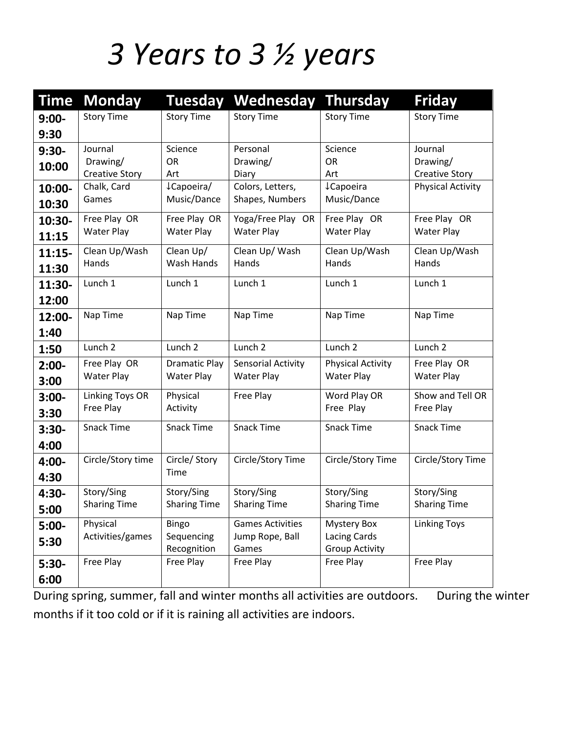# *3 Years to 3 ½ years*

| <b>Time</b> | <b>Monday</b>          | <b>Tuesday</b>           | <b>Wednesday Thursday</b> |                                       | <b>Friday</b>            |
|-------------|------------------------|--------------------------|---------------------------|---------------------------------------|--------------------------|
| $9:00-$     | <b>Story Time</b>      | <b>Story Time</b>        | <b>Story Time</b>         | <b>Story Time</b>                     | <b>Story Time</b>        |
| 9:30        |                        |                          |                           |                                       |                          |
| $9:30-$     | Journal                | Science                  | Personal                  | Science                               | Journal                  |
| 10:00       | Drawing/               | <b>OR</b>                | Drawing/                  | <b>OR</b>                             | Drawing/                 |
|             | <b>Creative Story</b>  | Art                      | Diary                     | Art                                   | <b>Creative Story</b>    |
| 10:00-      | Chalk, Card            | ¿Capoeira/               | Colors, Letters,          | <b>↓Capoeira</b>                      | <b>Physical Activity</b> |
| 10:30       | Games                  | Music/Dance              | Shapes, Numbers           | Music/Dance                           |                          |
| 10:30-      | Free Play OR           | Free Play OR             | Yoga/Free Play OR         | Free Play OR                          | Free Play OR             |
| 11:15       | <b>Water Play</b>      | <b>Water Play</b>        | <b>Water Play</b>         | <b>Water Play</b>                     | <b>Water Play</b>        |
| $11:15-$    | Clean Up/Wash          | Clean Up/                | Clean Up/ Wash            | Clean Up/Wash                         | Clean Up/Wash            |
| 11:30       | Hands                  | Wash Hands               | Hands                     | Hands                                 | Hands                    |
| 11:30-      | Lunch 1                | Lunch 1                  | Lunch 1                   | Lunch 1                               | Lunch 1                  |
| 12:00       |                        |                          |                           |                                       |                          |
| 12:00-      | Nap Time               | Nap Time                 | Nap Time                  | Nap Time                              | Nap Time                 |
| 1:40        |                        |                          |                           |                                       |                          |
| 1:50        | Lunch <sub>2</sub>     | Lunch <sub>2</sub>       | Lunch <sub>2</sub>        | Lunch <sub>2</sub>                    | Lunch <sub>2</sub>       |
| $2:00-$     | Free Play OR           | <b>Dramatic Play</b>     | Sensorial Activity        | <b>Physical Activity</b>              | Free Play OR             |
| 3:00        | <b>Water Play</b>      | <b>Water Play</b>        | <b>Water Play</b>         | <b>Water Play</b>                     | <b>Water Play</b>        |
| $3:00-$     | <b>Linking Toys OR</b> | Physical                 | Free Play                 | Word Play OR                          | Show and Tell OR         |
| 3:30        | Free Play              | Activity                 |                           | Free Play                             | Free Play                |
| $3:30-$     | <b>Snack Time</b>      | <b>Snack Time</b>        | <b>Snack Time</b>         | <b>Snack Time</b>                     | <b>Snack Time</b>        |
| 4:00        |                        |                          |                           |                                       |                          |
| 4:00-       | Circle/Story time      | Circle/ Story            | Circle/Story Time         | Circle/Story Time                     | Circle/Story Time        |
| 4:30        |                        | Time                     |                           |                                       |                          |
| 4:30-       | Story/Sing             | Story/Sing               | Story/Sing                | Story/Sing                            | Story/Sing               |
| 5:00        | <b>Sharing Time</b>    | <b>Sharing Time</b>      | <b>Sharing Time</b>       | <b>Sharing Time</b>                   | <b>Sharing Time</b>      |
| $5:00-$     | Physical               | <b>Bingo</b>             | <b>Games Activities</b>   | <b>Mystery Box</b>                    | <b>Linking Toys</b>      |
| 5:30        | Activities/games       | Sequencing               | Jump Rope, Ball           | Lacing Cards<br><b>Group Activity</b> |                          |
| $5:30-$     | Free Play              | Recognition<br>Free Play | Games<br>Free Play        | Free Play                             | Free Play                |
|             |                        |                          |                           |                                       |                          |
| 6:00        |                        |                          |                           |                                       |                          |

During spring, summer, fall and winter months all activities are outdoors. During the winter months if it too cold or if it is raining all activities are indoors.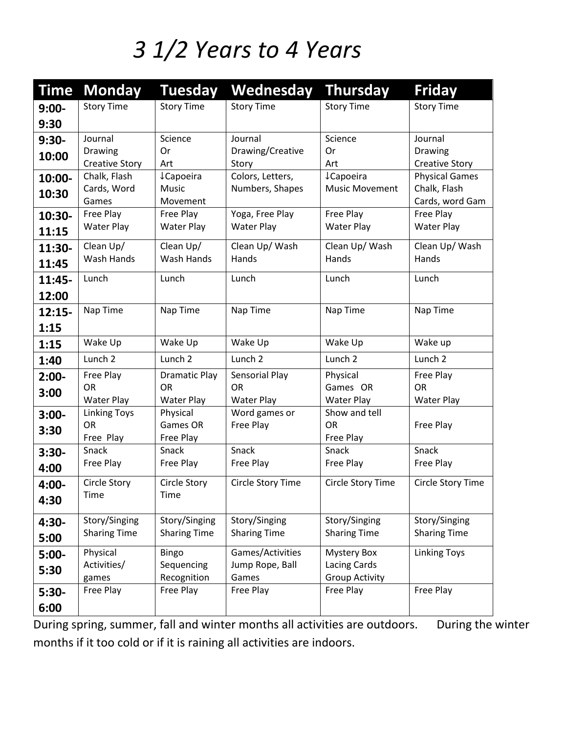#### *3 1/2 Years to 4 Years*

| Time     | <b>Monday</b>         | Tuesday               | Wednesday           | <b>Thursday</b>       | <b>Friday</b>                |
|----------|-----------------------|-----------------------|---------------------|-----------------------|------------------------------|
| $9:00-$  | <b>Story Time</b>     | <b>Story Time</b>     | <b>Story Time</b>   | <b>Story Time</b>     | <b>Story Time</b>            |
| 9:30     |                       |                       |                     |                       |                              |
| $9:30-$  | Journal               | Science               | Journal             | Science               | Journal                      |
| 10:00    | Drawing               | 0r                    | Drawing/Creative    | <b>Or</b>             | <b>Drawing</b>               |
|          | <b>Creative Story</b> | Art                   | Story               | Art                   | <b>Creative Story</b>        |
| 10:00-   | Chalk, Flash          | <b>↓Capoeira</b>      | Colors, Letters,    | <b>LCapoeira</b>      | <b>Physical Games</b>        |
| 10:30    | Cards, Word           | Music                 | Numbers, Shapes     | <b>Music Movement</b> | Chalk, Flash                 |
|          | Games<br>Free Play    | Movement<br>Free Play | Yoga, Free Play     | Free Play             | Cards, word Gam<br>Free Play |
| 10:30-   | Water Play            | Water Play            | <b>Water Play</b>   | <b>Water Play</b>     | <b>Water Play</b>            |
| 11:15    |                       |                       |                     |                       |                              |
| 11:30-   | Clean Up/             | Clean Up/             | Clean Up/ Wash      | Clean Up/Wash         | Clean Up/ Wash               |
| 11:45    | Wash Hands            | Wash Hands            | Hands               | Hands                 | Hands                        |
| $11:45-$ | Lunch                 | Lunch                 | Lunch               | Lunch                 | Lunch                        |
| 12:00    |                       |                       |                     |                       |                              |
| $12:15-$ | Nap Time              | Nap Time              | Nap Time            | Nap Time              | Nap Time                     |
| 1:15     |                       |                       |                     |                       |                              |
| 1:15     | Wake Up               | Wake Up               | Wake Up             | Wake Up               | Wake up                      |
| 1:40     | Lunch <sub>2</sub>    | Lunch <sub>2</sub>    | Lunch <sub>2</sub>  | Lunch 2               | Lunch 2                      |
| $2:00-$  | Free Play             | <b>Dramatic Play</b>  | Sensorial Play      | Physical              | Free Play                    |
| 3:00     | <b>OR</b>             | <b>OR</b>             | <b>OR</b>           | Games OR              | <b>OR</b>                    |
|          | <b>Water Play</b>     | <b>Water Play</b>     | <b>Water Play</b>   | <b>Water Play</b>     | <b>Water Play</b>            |
| $3:00 -$ | <b>Linking Toys</b>   | Physical              | Word games or       | Show and tell         |                              |
| 3:30     | <b>OR</b>             | Games OR              | Free Play           | <b>OR</b>             | Free Play                    |
|          | Free Play<br>Snack    | Free Play<br>Snack    | Snack               | Free Play<br>Snack    | Snack                        |
| $3:30-$  | Free Play             | Free Play             | Free Play           | Free Play             | Free Play                    |
| 4:00     |                       |                       |                     |                       |                              |
| 4:00-    | Circle Story          | Circle Story          | Circle Story Time   | Circle Story Time     | Circle Story Time            |
| 4:30     | Time                  | Time                  |                     |                       |                              |
| 4:30-    | Story/Singing         | Story/Singing         | Story/Singing       | Story/Singing         | Story/Singing                |
| 5:00     | <b>Sharing Time</b>   | <b>Sharing Time</b>   | <b>Sharing Time</b> | <b>Sharing Time</b>   | <b>Sharing Time</b>          |
| $5:00-$  | Physical              | Bingo                 | Games/Activities    | <b>Mystery Box</b>    | <b>Linking Toys</b>          |
| 5:30     | Activities/           | Sequencing            | Jump Rope, Ball     | Lacing Cards          |                              |
|          | games                 | Recognition           | Games               | <b>Group Activity</b> |                              |
| $5:30-$  | Free Play             | Free Play             | Free Play           | Free Play             | Free Play                    |
| 6:00     |                       |                       |                     |                       |                              |

During spring, summer, fall and winter months all activities are outdoors. During the winter months if it too cold or if it is raining all activities are indoors.